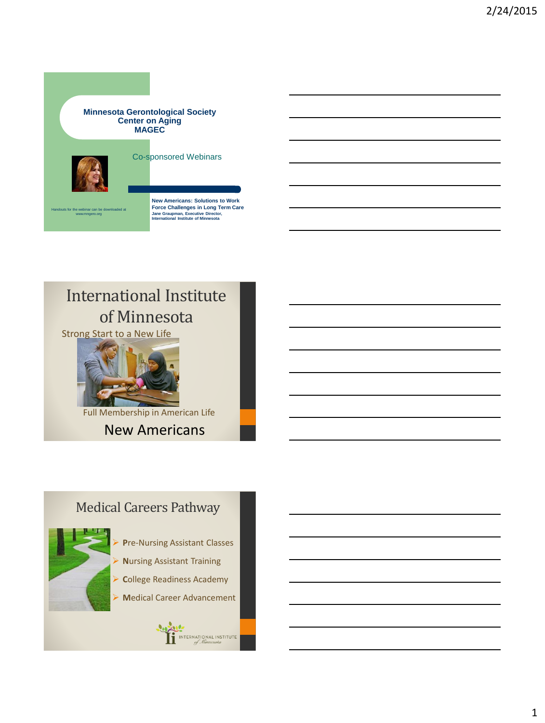#### **Minnesota Gerontological Society Center on Aging MAGEC**



Co-sponsored Webinars



Handouts for the webinar can be downloaded at www.mngero.org

**New Americans: Solutions to Work Force Challenges in Long Term Care Jane Graupman, Executive Director, International Institute of Minnesota**

## International Institute of Minnesota

Strong Start to a New Life



Full Membership in American Life

New Americans

#### Medical Careers Pathway



- **P**re-Nursing Assistant Classes
- **N**ursing Assistant Training
- **C**ollege Readiness Academy
- **M**edical Career Advancement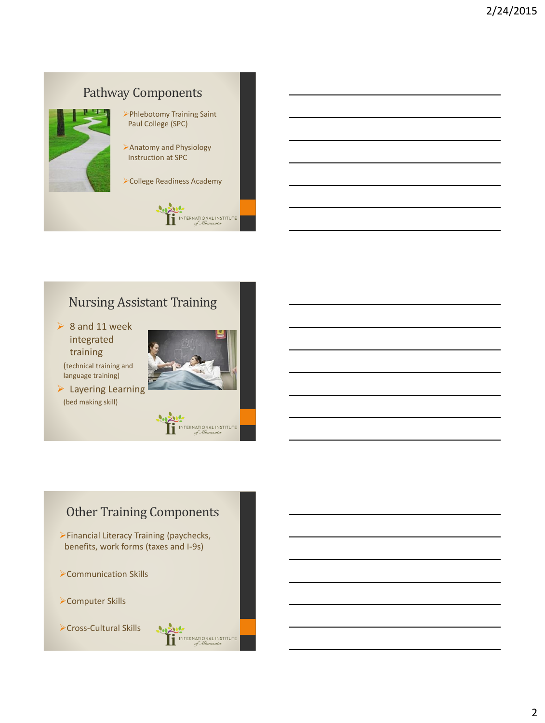

#### Nursing Assistant Training

 $\triangleright$  8 and 11 week integrated training (technical training and language training)

 $\blacktriangleright$  Layering Learning (bed making skill)



INTERNATIONAL INSTITUTE

## Other Training Components

Financial Literacy Training (paychecks, benefits, work forms (taxes and I-9s)

- Communication Skills
- Computer Skills
- Cross-Cultural Skills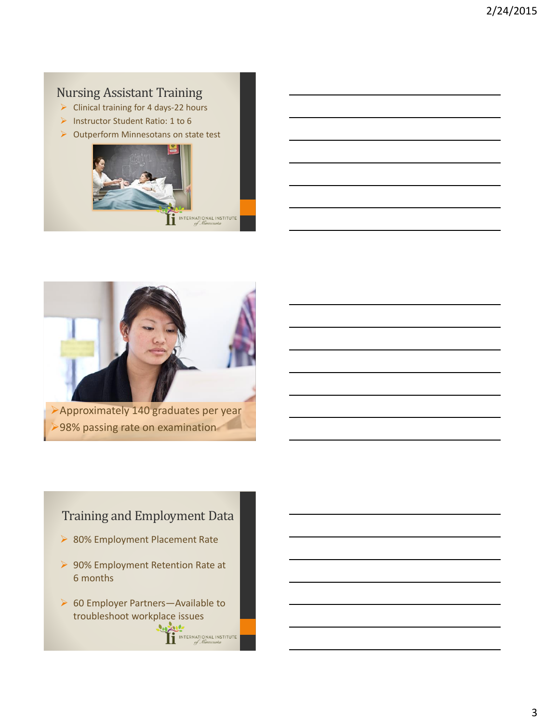#### Nursing Assistant Training

- $\triangleright$  Clinical training for 4 days-22 hours
- Instructor Student Ratio: 1 to 6
- ▶ Outperform Minnesotans on state test





#### Training and Employment Data

- ▶ 80% Employment Placement Rate
- ▶ 90% Employment Retention Rate at 6 months
- ▶ 60 Employer Partners-Available to troubleshoot workplace issues2000

INTERNATIONAL INSTITUTE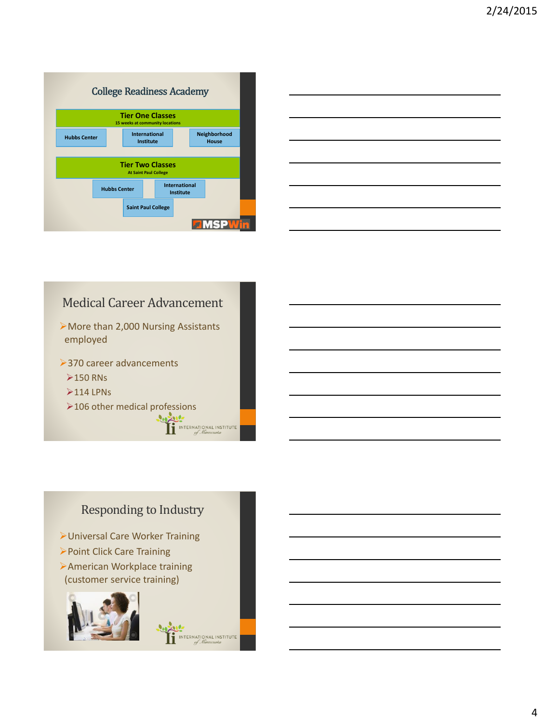|                     | <b>College Readiness Academy</b> |                                                            |                                          |                       |
|---------------------|----------------------------------|------------------------------------------------------------|------------------------------------------|-----------------------|
|                     |                                  | <b>Tier One Classes</b><br>15 weeks at community locations |                                          |                       |
| <b>Hubbs Center</b> |                                  | <b>International</b><br><b>Institute</b>                   |                                          | Neighborhood<br>House |
|                     |                                  |                                                            |                                          |                       |
|                     |                                  | <b>Tier Two Classes</b><br><b>At Saint Paul College</b>    |                                          |                       |
|                     | <b>Hubbs Center</b>              |                                                            | <b>International</b><br><b>Institute</b> |                       |
|                     |                                  | <b>Saint Paul College</b>                                  |                                          |                       |
|                     |                                  |                                                            |                                          |                       |



# Medical Career Advancement

More than 2,000 Nursing Assistants employed

**>370 career advancements** 

 $\geq$  150 RNs

- $>$ 114 LPNs
- $\triangleright$  106 other medical professions<br>  $\overbrace{\prod_{j\in\text{MIERNATIONAL INSTITUT}}$

#### Responding to Industry

NTERNATIONAL INSTITUTE

Universal Care Worker Training

- Point Click Care Training
- American Workplace training (customer service training)